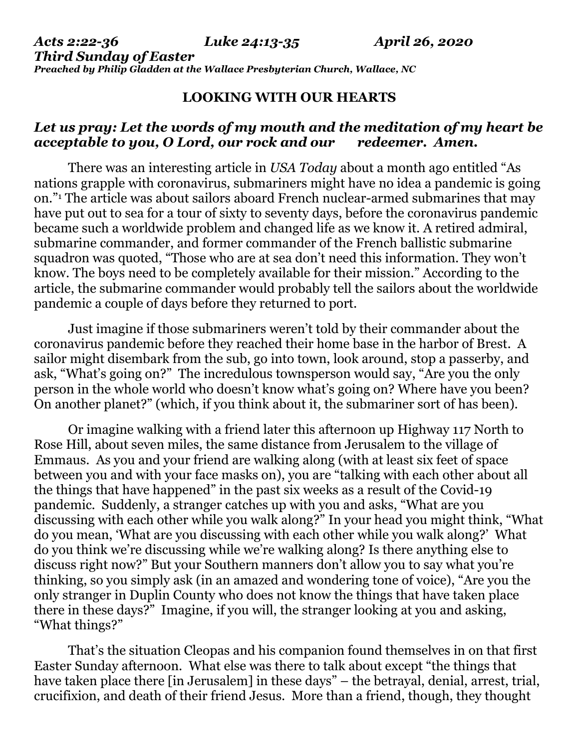## **LOOKING WITH OUR HEARTS**

## *Let us pray: Let the words of my mouth and the meditation of my heart be acceptable to you, O Lord, our rock and our redeemer. Amen.*

There was an interesting article in *USA Today* about a month ago entitled "As nations grapple with coronavirus, submariners might have no idea a pandemic is going on."<sup>1</sup> The article was about sailors aboard French nuclear-armed submarines that may have put out to sea for a tour of sixty to seventy days, before the coronavirus pandemic became such a worldwide problem and changed life as we know it. A retired admiral, submarine commander, and former commander of the French ballistic submarine squadron was quoted, "Those who are at sea don't need this information. They won't know. The boys need to be completely available for their mission." According to the article, the submarine commander would probably tell the sailors about the worldwide pandemic a couple of days before they returned to port.

Just imagine if those submariners weren't told by their commander about the coronavirus pandemic before they reached their home base in the harbor of Brest. A sailor might disembark from the sub, go into town, look around, stop a passerby, and ask, "What's going on?" The incredulous townsperson would say, "Are you the only person in the whole world who doesn't know what's going on? Where have you been? On another planet?" (which, if you think about it, the submariner sort of has been).

Or imagine walking with a friend later this afternoon up Highway 117 North to Rose Hill, about seven miles, the same distance from Jerusalem to the village of Emmaus. As you and your friend are walking along (with at least six feet of space between you and with your face masks on), you are "talking with each other about all the things that have happened" in the past six weeks as a result of the Covid-19 pandemic. Suddenly, a stranger catches up with you and asks, "What are you discussing with each other while you walk along?" In your head you might think, "What do you mean, 'What are you discussing with each other while you walk along?' What do you think we're discussing while we're walking along? Is there anything else to discuss right now?" But your Southern manners don't allow you to say what you're thinking, so you simply ask (in an amazed and wondering tone of voice), "Are you the only stranger in Duplin County who does not know the things that have taken place there in these days?" Imagine, if you will, the stranger looking at you and asking, "What things?"

That's the situation Cleopas and his companion found themselves in on that first Easter Sunday afternoon. What else was there to talk about except "the things that have taken place there [in Jerusalem] in these days" – the betraval, denial, arrest, trial, crucifixion, and death of their friend Jesus. More than a friend, though, they thought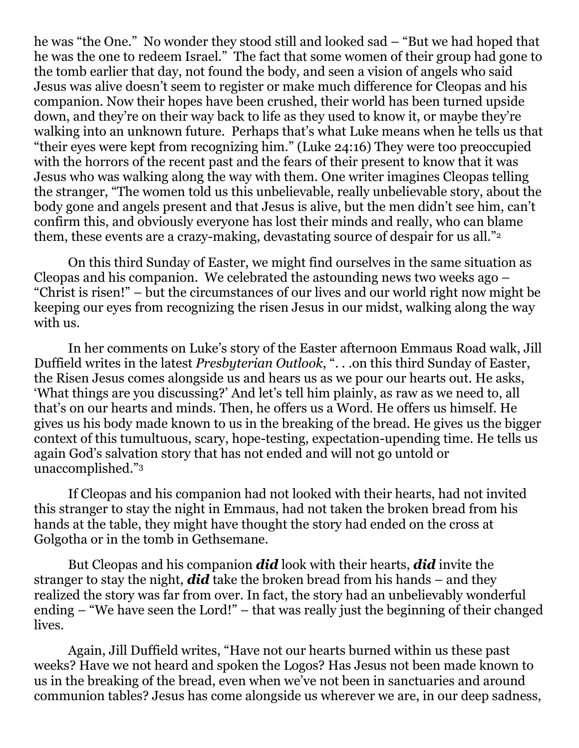he was "the One." No wonder they stood still and looked sad – "But we had hoped that he was the one to redeem Israel." The fact that some women of their group had gone to the tomb earlier that day, not found the body, and seen a vision of angels who said Jesus was alive doesn't seem to register or make much difference for Cleopas and his companion. Now their hopes have been crushed, their world has been turned upside down, and they're on their way back to life as they used to know it, or maybe they're walking into an unknown future. Perhaps that's what Luke means when he tells us that "their eyes were kept from recognizing him." (Luke 24:16) They were too preoccupied with the horrors of the recent past and the fears of their present to know that it was Jesus who was walking along the way with them. One writer imagines Cleopas telling the stranger, "The women told us this unbelievable, really unbelievable story, about the body gone and angels present and that Jesus is alive, but the men didn't see him, can't confirm this, and obviously everyone has lost their minds and really, who can blame them, these events are a crazy-making, devastating source of despair for us all."<sup>2</sup>

On this third Sunday of Easter, we might find ourselves in the same situation as Cleopas and his companion. We celebrated the astounding news two weeks ago – "Christ is risen!" – but the circumstances of our lives and our world right now might be keeping our eyes from recognizing the risen Jesus in our midst, walking along the way with us.

In her comments on Luke's story of the Easter afternoon Emmaus Road walk, Jill Duffield writes in the latest *Presbyterian Outlook*, ". . .on this third Sunday of Easter, the Risen Jesus comes alongside us and hears us as we pour our hearts out. He asks, 'What things are you discussing?' And let's tell him plainly, as raw as we need to, all that's on our hearts and minds. Then, he offers us a Word. He offers us himself. He gives us his body made known to us in the breaking of the bread. He gives us the bigger context of this tumultuous, scary, hope-testing, expectation-upending time. He tells us again God's salvation story that has not ended and will not go untold or unaccomplished."<sup>3</sup>

If Cleopas and his companion had not looked with their hearts, had not invited this stranger to stay the night in Emmaus, had not taken the broken bread from his hands at the table, they might have thought the story had ended on the cross at Golgotha or in the tomb in Gethsemane.

But Cleopas and his companion *did* look with their hearts, *did* invite the stranger to stay the night, *did* take the broken bread from his hands – and they realized the story was far from over. In fact, the story had an unbelievably wonderful ending – "We have seen the Lord!" – that was really just the beginning of their changed lives.

Again, Jill Duffield writes, "Have not our hearts burned within us these past weeks? Have we not heard and spoken the Logos? Has Jesus not been made known to us in the breaking of the bread, even when we've not been in sanctuaries and around communion tables? Jesus has come alongside us wherever we are, in our deep sadness,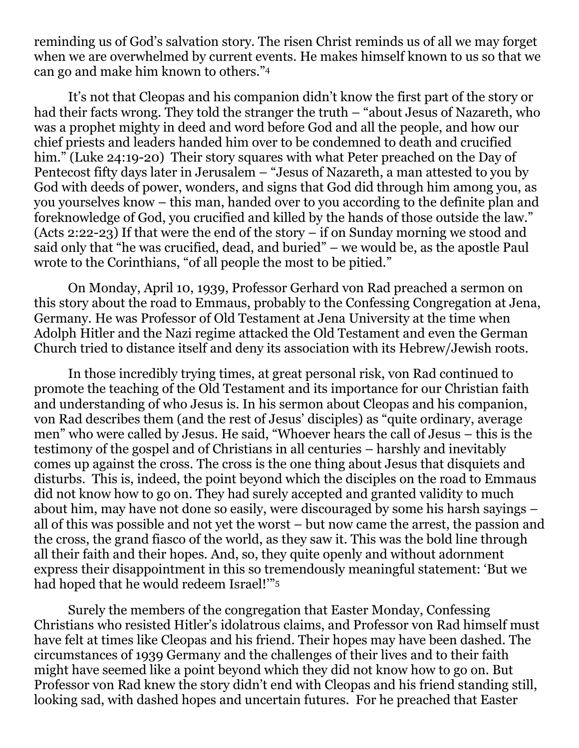reminding us of God's salvation story. The risen Christ reminds us of all we may forget when we are overwhelmed by current events. He makes himself known to us so that we can go and make him known to others."<sup>4</sup>

It's not that Cleopas and his companion didn't know the first part of the story or had their facts wrong. They told the stranger the truth – "about Jesus of Nazareth, who was a prophet mighty in deed and word before God and all the people, and how our chief priests and leaders handed him over to be condemned to death and crucified him." (Luke 24:19-20) Their story squares with what Peter preached on the Day of Pentecost fifty days later in Jerusalem – "Jesus of Nazareth, a man attested to you by God with deeds of power, wonders, and signs that God did through him among you, as you yourselves know – this man, handed over to you according to the definite plan and foreknowledge of God, you crucified and killed by the hands of those outside the law." (Acts 2:22-23) If that were the end of the story – if on Sunday morning we stood and said only that "he was crucified, dead, and buried" – we would be, as the apostle Paul wrote to the Corinthians, "of all people the most to be pitied."

On Monday, April 10, 1939, Professor Gerhard von Rad preached a sermon on this story about the road to Emmaus, probably to the Confessing Congregation at Jena, Germany. He was Professor of Old Testament at Jena University at the time when Adolph Hitler and the Nazi regime attacked the Old Testament and even the German Church tried to distance itself and deny its association with its Hebrew/Jewish roots.

In those incredibly trying times, at great personal risk, von Rad continued to promote the teaching of the Old Testament and its importance for our Christian faith and understanding of who Jesus is. In his sermon about Cleopas and his companion, von Rad describes them (and the rest of Jesus' disciples) as "quite ordinary, average men" who were called by Jesus. He said, "Whoever hears the call of Jesus – this is the testimony of the gospel and of Christians in all centuries – harshly and inevitably comes up against the cross. The cross is the one thing about Jesus that disquiets and disturbs. This is, indeed, the point beyond which the disciples on the road to Emmaus did not know how to go on. They had surely accepted and granted validity to much about him, may have not done so easily, were discouraged by some his harsh sayings – all of this was possible and not yet the worst – but now came the arrest, the passion and the cross, the grand fiasco of the world, as they saw it. This was the bold line through all their faith and their hopes. And, so, they quite openly and without adornment express their disappointment in this so tremendously meaningful statement: 'But we had hoped that he would redeem Israel!'"<sup>5</sup>

Surely the members of the congregation that Easter Monday, Confessing Christians who resisted Hitler's idolatrous claims, and Professor von Rad himself must have felt at times like Cleopas and his friend. Their hopes may have been dashed. The circumstances of 1939 Germany and the challenges of their lives and to their faith might have seemed like a point beyond which they did not know how to go on. But Professor von Rad knew the story didn't end with Cleopas and his friend standing still, looking sad, with dashed hopes and uncertain futures. For he preached that Easter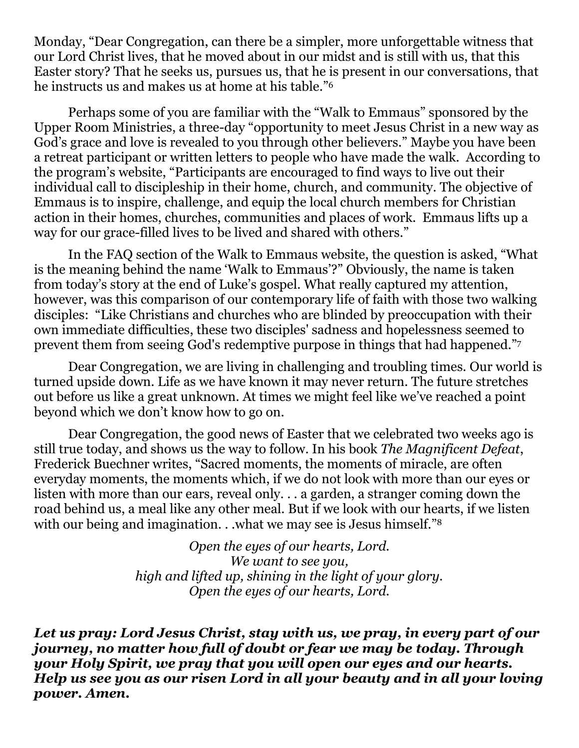Monday, "Dear Congregation, can there be a simpler, more unforgettable witness that our Lord Christ lives, that he moved about in our midst and is still with us, that this Easter story? That he seeks us, pursues us, that he is present in our conversations, that he instructs us and makes us at home at his table."<sup>6</sup>

Perhaps some of you are familiar with the "Walk to Emmaus" sponsored by the Upper Room Ministries, a three-day "opportunity to meet Jesus Christ in a new way as God's grace and love is revealed to you through other believers." Maybe you have been a retreat participant or written letters to people who have made the walk. According to the program's website, "Participants are encouraged to find ways to live out their individual call to discipleship in their home, church, and community. The objective of Emmaus is to inspire, challenge, and equip the local church members for Christian action in their homes, churches, communities and places of work. Emmaus lifts up a way for our grace-filled lives to be lived and shared with others."

In the FAQ section of the Walk to Emmaus website, the question is asked, "What is the meaning behind the name 'Walk to Emmaus'?" Obviously, the name is taken from today's story at the end of Luke's gospel. What really captured my attention, however, was this comparison of our contemporary life of faith with those two walking disciples: "Like Christians and churches who are blinded by preoccupation with their own immediate difficulties, these two disciples' sadness and hopelessness seemed to prevent them from seeing God's redemptive purpose in things that had happened." 7

Dear Congregation, we are living in challenging and troubling times. Our world is turned upside down. Life as we have known it may never return. The future stretches out before us like a great unknown. At times we might feel like we've reached a point beyond which we don't know how to go on.

Dear Congregation, the good news of Easter that we celebrated two weeks ago is still true today, and shows us the way to follow. In his book *The Magnificent Defeat*, Frederick Buechner writes, "Sacred moments, the moments of miracle, are often everyday moments, the moments which, if we do not look with more than our eyes or listen with more than our ears, reveal only. . . a garden, a stranger coming down the road behind us, a meal like any other meal. But if we look with our hearts, if we listen with our being and imagination. . .what we may see is Jesus himself."<sup>8</sup>

> *Open the eyes of our hearts, Lord. We want to see you, high and lifted up, shining in the light of your glory. Open the eyes of our hearts, Lord.*

*Let us pray: Lord Jesus Christ, stay with us, we pray, in every part of our journey, no matter how full of doubt or fear we may be today. Through your Holy Spirit, we pray that you will open our eyes and our hearts. Help us see you as our risen Lord in all your beauty and in all your loving power. Amen.*